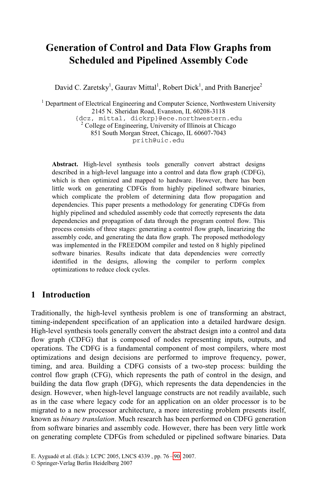# **Generation of Control and Data Flow Graphs from Scheduled and Pipelined Assembly Code**

David C. Zaretsky<sup>1</sup>, Gaurav Mittal<sup>1</sup>, Robert Dick<sup>1</sup>, and Prith Banerjee<sup>2</sup>

<sup>1</sup> Department of Electrical Engineering and Computer Science, Northwestern University 2145 N. Sheridan Road, Evanston, IL 60208-3118 {dcz, mittal, dickrp}@ece.northwestern.edu <sup>2</sup> College of Engineering, University of Illinois at Chicago 851 South Morgan Street, Chicago, IL 60607-7043 prith@uic.edu

**Abstract.** High-level synthesis tools generally convert abstract designs described in a high-level language into a control and data flow graph (CDFG), which is then optimized and mapped to hardware. However, there has been little work on generating CDFGs from highly pipelined software binaries, which complicate the problem of determining data flow propagation and dependencies. This paper presents a methodology for generating CDFGs from highly pipelined and scheduled assembly code that correctly represents the data dependencies and propagation of data through the program control flow. This process consists of three stages: generating a control flow graph, linearizing the assembly code, and generating the data flow graph. The proposed methodology was implemented in the FREEDOM compiler and tested on 8 highly pipelined software binaries. Results indicate that data dependencies were correctly identified in the designs, allowing the compiler to perform complex optimizations to reduce clock cycles.

## **1 Introduction**

Traditionally, the high-level synthesis problem is one of transforming an abstract, timing-independent specification of an application into a detailed hardware design. High-level synthesis tools generally convert the abstract design into a control and data flow graph (CDFG) that is composed of nodes representing inputs, outputs, and operations. The CDFG is a fundamental component of most compilers, where most optimizations and design decisions are performed to improve frequency, power, timing, and area. Building a CDFG consists of a two-step process: building the control flow graph (CFG), which represents the path of control in the design, and building the data flow gra[ph](#page-14-0) (DFG), which represents the data dependencies in the design. However, when high-level language constructs are not readily available, such as in the case where legacy code for an application on an older processor is to be migrated to a new processor architecture, a more interesting problem presents itself, known as *binary translation*. Much research has been performed on CDFG generation from software binaries and assembly code. However, there has been very little work on generating complete CDFGs from scheduled or pipelined software binaries. Data

E. Ayguadé et al. (Eds.): LCPC 2005, LNCS 4339 , pp. 76 – 90, 2007.

<sup>©</sup> Springer-Verlag Berlin Heidelberg 2007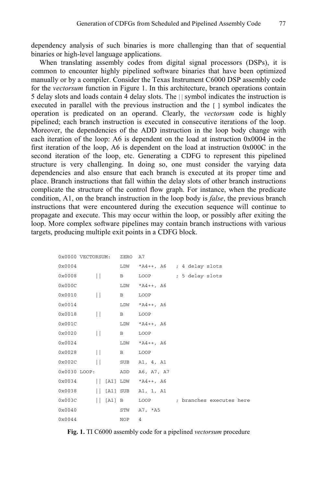dependency analysis of such binaries is more challenging than that of sequential binaries or high-level language applications.

When translating assembly codes from digital signal processors (DSPs), it is common to encounter highly pipelined software binaries that have been optimized manually or by a compiler. Consider the Texas Instrument C6000 DSP assembly code for the *vectorsum* function in Figure 1. In this architecture, branch operations contain 5 delay slots and loads contain 4 delay slots. The | | symbol indicates the instruction is executed in parallel with the previous instruction and the [ ] symbol indicates the operation is predicated on an operand. Clearly, the *vectorsum* code is highly pipelined; each branch instruction is executed in consecutive iterations of the loop. Moreover, the dependencies of the ADD instruction in the loop body change with each iteration of the loop: A6 is dependent on the load at instruction 0x0004 in the first iteration of the loop, A6 is dependent on the load at instruction 0x000C in the second iteration of the loop, etc. Generating a CDFG to represent this pipelined structure is very challenging. In doing so, one must consider the varying data dependencies and also ensure that each branch is executed at its proper time and place. Branch instructions that fall within the delay slots of other branch instructions complicate the structure of the control flow graph. For instance, when the predicate condition, A1, on the branch instruction in the loop body is *false*, the previous branch instructions that were encountered during the execution sequence will continue to propagate and execute. This may occur within the loop, or possibly after exiting the loop. More complex software pipelines may contain branch instructions with various targets, producing multiple exit points in a CDFG block.

|                 | 0x0000 VECTORSUM: ZERO A7 |              |                                  |  |                 |                                      |  |
|-----------------|---------------------------|--------------|----------------------------------|--|-----------------|--------------------------------------|--|
| $0 \times 0004$ |                           |              | LDW $*A4++$ , A6 ; 4 delay slots |  |                 |                                      |  |
| 0x0008          | Ш                         | $\mathbf{B}$ | LOOP                             |  | ; 5 delay slots |                                      |  |
| 0x000C          |                           |              | LDW $*AA++$ , A6                 |  |                 |                                      |  |
| 0x0010          | Ш                         | $\mathbf{B}$ | LOOP                             |  |                 |                                      |  |
| 0x0014          |                           |              | LDW $*AA++$ , A6                 |  |                 |                                      |  |
| 0x0018          | Ш                         | B LOOP       |                                  |  |                 |                                      |  |
| 0x001C          |                           |              | LDW $*AA++$ , A6                 |  |                 |                                      |  |
| 0x0020          | $\mathbf{H}$              | B LOOP       |                                  |  |                 |                                      |  |
| 0x0024          |                           |              | LDW $*AA++$ , A6                 |  |                 |                                      |  |
| 0x0028          | $\perp$                   | $\mathbf B$  | LOOP                             |  |                 |                                      |  |
| $0 \times 002C$ | $\perp$                   |              | SUB A1, 4, A1                    |  |                 |                                      |  |
|                 | $0x0030$ LOOP:            |              | ADD A6, A7, A7                   |  |                 |                                      |  |
| $0 \times 0034$ |                           |              | $  $ [A1] LDW *A4++, A6          |  |                 |                                      |  |
| 0x0038          |                           |              | $  $ [A1] SUB A1, 1, A1          |  |                 |                                      |  |
| $0 \times 003C$ |                           |              |                                  |  |                 | [A1] B LOOP ; branches executes here |  |
| 0x0040          |                           |              | STW A7, *A5                      |  |                 |                                      |  |
| 0x0044          |                           | NOP          | 4                                |  |                 |                                      |  |

**Fig. 1.** TI C6000 assembly code for a pipelined *vectorsum* procedure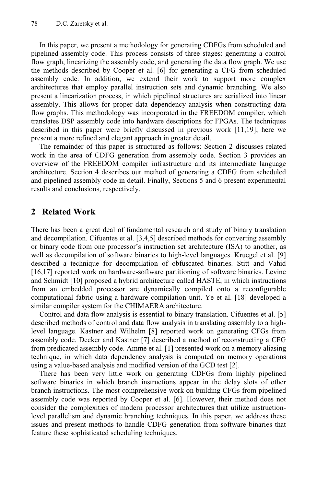In this paper, we present a methodology for generating CDFGs from scheduled and pipelined assembly code. This process consists of three stages: generating a control flow graph, linearizing the assembly code, and generating the data flow graph. We use the methods described by Cooper et al. [6] for generating a CFG from scheduled assembly code. In addition, we extend their work to support more complex architectures that employ parallel instruction sets and dynamic branching. We also present a linearization process, in which pipelined structures are serialized into linear assembly. This allows for proper data dependency analysis when constructing data flow graphs. This methodology was incorporated in the FREEDOM compiler, which translates DSP assembly code into hardware descriptions for FPGAs. The techniques described in this paper were briefly discussed in previous work [11,19]; here we present a more refined and elegant approach in greater detail.

The remainder of this paper is structured as follows: Section 2 discusses related work in the area of CDFG generation from assembly code. Section 3 provides an overview of the FREEDOM compiler infrastructure and its intermediate language architecture. Section 4 describes our method of generating a CDFG from scheduled and pipelined assembly code in detail. Finally, Sections 5 and 6 present experimental results and conclusions, respectively.

## **2 Related Work**

There has been a great deal of fundamental research and study of binary translation and decompilation. Cifuentes et al. [3,4,5] described methods for converting assembly or binary code from one processor's instruction set architecture (ISA) to another, as well as decompilation of software binaries to high-level languages. Kruegel et al. [9] described a technique for decompilation of obfuscated binaries. Stitt and Vahid [16,17] reported work on hardware-software partitioning of software binaries. Levine and Schmidt [10] proposed a hybrid architecture called HASTE, in which instructions from an embedded processor are dynamically compiled onto a reconfigurable computational fabric using a hardware compilation unit. Ye et al. [18] developed a similar compiler system for the CHIMAERA architecture.

Control and data flow analysis is essential to binary translation. Cifuentes et al. [5] described methods of control and data flow analysis in translating assembly to a highlevel language. Kastner and Wilhelm [8] reported work on generating CFGs from assembly code. Decker and Kastner [7] described a method of reconstructing a CFG from predicated assembly code. Amme et al. [1] presented work on a memory aliasing technique, in which data dependency analysis is computed on memory operations using a value-based analysis and modified version of the GCD test [2].

There has been very little work on generating CDFGs from highly pipelined software binaries in which branch instructions appear in the delay slots of other branch instructions. The most comprehensive work on building CFGs from pipelined assembly code was reported by Cooper et al. [6]. However, their method does not consider the complexities of modern processor architectures that utilize instructionlevel parallelism and dynamic branching techniques. In this paper, we address these issues and present methods to handle CDFG generation from software binaries that feature these sophisticated scheduling techniques.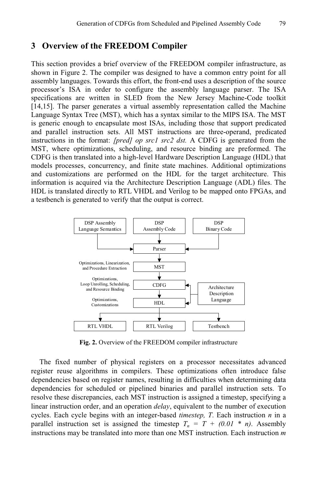### **3 Overview of the FREEDOM Compiler**

This section provides a brief overview of the FREEDOM compiler infrastructure, as shown in Figure 2. The compiler was designed to have a common entry point for all assembly languages. Towards this effort, the front-end uses a description of the source processor's ISA in order to configure the assembly language parser. The ISA specifications are written in SLED from the New Jersey Machine-Code toolkit [14,15]. The parser generates a virtual assembly representation called the Machine Language Syntax Tree (MST), which has a syntax similar to the MIPS ISA. The MST is generic enough to encapsulate most ISAs, including those that support predicated and parallel instruction sets. All MST instructions are three-operand, predicated instructions in the format: *[pred] op src1 src2 dst.* A CDFG is generated from the MST, where optimizations, scheduling, and resource binding are preformed. The CDFG is then translated into a high-level Hardware Description Language (HDL) that models processes, concurrency, and finite state machines. Additional optimizations and customizations are performed on the HDL for the target architecture. This information is acquired via the Architecture Description Language (ADL) files. The HDL is translated directly to RTL VHDL and Verilog to be mapped onto FPGAs, and a testbench is generated to verify that the output is correct.



**Fig. 2.** Overview of the FREEDOM compiler infrastructure

The fixed number of physical registers on a processor necessitates advanced register reuse algorithms in compilers. These optimizations often introduce false dependencies based on register names, resulting in difficulties when determining data dependencies for scheduled or pipelined binaries and parallel instruction sets. To resolve these discrepancies, each MST instruction is assigned a timestep, specifying a linear instruction order, and an operation *delay*, equivalent to the number of execution cycles. Each cycle begins with an integer-based *timestep, T*. Each instruction *n* in a parallel instruction set is assigned the timestep  $T_n = T + (0.01 * n)$ . Assembly instructions may be translated into more than one MST instruction. Each instruction *m*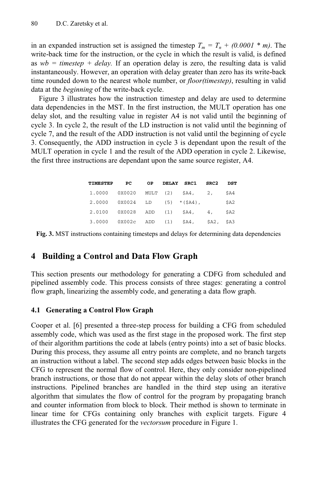in an expanded instruction set is assigned the timestep  $T_m = T_n + (0.0001 * m)$ . The write-back time for the instruction, or the cycle in which the result is valid, is defined as  $wb = timestep + delay$ . If an operation delay is zero, the resulting data is valid instantaneously. However, an operation with delay greater than zero has its write-back time rounded down to the nearest whole number, or *floor(timestep)*, resulting in valid data at the *beginning* of the write-back cycle.

Figure 3 illustrates how the instruction timestep and delay are used to determine data dependencies in the MST. In the first instruction, the MULT operation has one delay slot, and the resulting value in register A4 is not valid until the beginning of cycle 3. In cycle 2, the result of the LD instruction is not valid until the beginning of cycle 7, and the result of the ADD instruction is not valid until the beginning of cycle 3. Consequently, the ADD instruction in cycle 3 is dependant upon the result of the MULT operation in cycle 1 and the result of the ADD operation in cycle 2. Likewise, the first three instructions are dependant upon the same source register, A4.

| TIMESTEP | PC.    | OP   | <b>DELAY</b> | SRC1              | SRC <sub>2</sub> | <b>DST</b> |
|----------|--------|------|--------------|-------------------|------------------|------------|
| 1.0000   | 0X0020 | MULT | (2)          | SA4.              | 2,               | \$A4       |
| 2.0000   | 0X0024 | LD   |              | $(5)$ * $(SA4)$ . |                  | \$A2       |
| 2.0100   | 0X0028 | ADD  | (1)          | SA4.              | 4.               | \$A2       |
| 3.0000   | 0X002c | ADD  | (1)          | SA4.              | $S_A2$ .         | SA3        |

**Fig. 3.** MST instructions containing timesteps and delays for determining data dependencies

## **4 Building a Control and Data Flow Graph**

This section presents our methodology for generating a CDFG from scheduled and pipelined assembly code. This process consists of three stages: generating a control flow graph, linearizing the assembly code, and generating a data flow graph.

#### **4.1 Generating a Control Flow Graph**

Cooper et al. [6] presented a three-step process for building a CFG from scheduled assembly code, which was used as the first stage in the proposed work. The first step of their algorithm partitions the code at labels (entry points) into a set of basic blocks. During this process, they assume all entry points are complete, and no branch targets an instruction without a label. The second step adds edges between basic blocks in the CFG to represent the normal flow of control. Here, they only consider non-pipelined branch instructions, or those that do not appear within the delay slots of other branch instructions. Pipelined branches are handled in the third step using an iterative algorithm that simulates the flow of control for the program by propagating branch and counter information from block to block. Their method is shown to terminate in linear time for CFGs containing only branches with explicit targets. Figure 4 illustrates the CFG generated for the *vectorsum* procedure in Figure 1.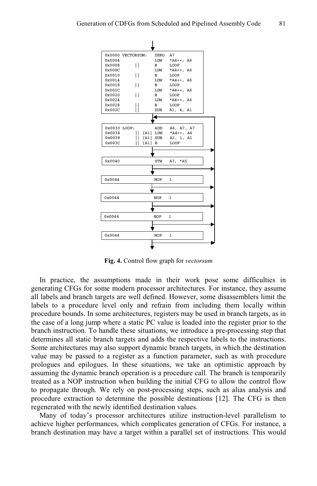

**Fig. 4.** Control flow graph for *vectorsum* 

In practice, the assumptions made in their work pose some difficulties in generating CFGs for some modern processor architectures. For instance, they assume all labels and branch targets are well defined. However, some disassemblers limit the labels to a procedure level only and refrain from including them locally within procedure bounds. In some architectures, registers may be used in branch targets, as in the case of a long jump where a static PC value is loaded into the register prior to the branch instruction. To handle these situations, we introduce a pre-processing step that determines all static branch targets and adds the respective labels to the instructions. Some architectures may also support dynamic branch targets, in which the destination value may be passed to a register as a function parameter, such as with procedure prologues and epilogues. In these situations, we take an optimistic approach by assuming the dynamic branch operation is a procedure call. The branch is temporarily treated as a NOP instruction when building the initial CFG to allow the control flow to propagate through. We rely on post-processing steps, such as alias analysis and procedure extraction to determine the possible destinations [12]. The CFG is then regenerated with the newly identified destination values.

Many of today's processor architectures utilize instruction-level parallelism to achieve higher performances, which complicates generation of CFGs. For instance, a branch destination may have a target within a parallel set of instructions. This would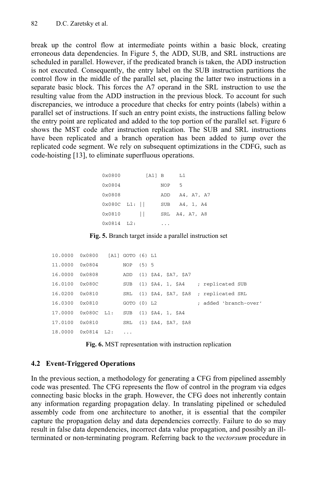break up the control flow at intermediate points within a basic block, creating erroneous data dependencies. In Figure 5, the ADD, SUB, and SRL instructions are scheduled in parallel. However, if the predicated branch is taken, the ADD instruction is not executed. Consequently, the entry label on the SUB instruction partitions the control flow in the middle of the parallel set, placing the latter two instructions in a separate basic block. This forces the A7 operand in the SRL instruction to use the resulting value from the ADD instruction in the previous block. To account for such discrepancies, we introduce a procedure that checks for entry points (labels) within a parallel set of instructions. If such an entry point exists, the instructions falling below the entry point are replicated and added to the top portion of the parallel set. Figure 6 shows the MST code after instruction replication. The SUB and SRL instructions have been replicated and a branch operation has been added to jump over the replicated code segment. We rely on subsequent optimizations in the CDFG, such as code-hoisting [13], to eliminate superfluous operations.

```
0x0800 [A1] B L1 
0x0804 NOP 5
0x0808 ADD A4, A7, A7 
0x080C L1: || SUB A4, 1, A4 
0x0810 || SRL A4, A7, A8
0x0814 L2: ...
```
**Fig. 5.** Branch target inside a parallel instruction set

```
10.0000 0x0800 [A1] GOTO (6) L1 
11.0000 0x0804 NOP (5) 5 
16.0000 0x0808 ADD (1) $A4, $A7, $A7 
16.0100 0x080C SUB (1) $A4, 1, $A4 ; replicated SUB 
16.0200 0x0810 SRL (1) $A4, $A7, $A8 ; replicated SRL 
16.0300 0x0810 GOTO (0) L2 ; added 'branch-over' 
17.0000 0x080C L1: SUB (1) $A4, 1, $A4 
17.0100 0x0810 SRL (1) $A4, $A7, $A8 
18.0000 0x0814 L2: ...
```
**Fig. 6.** MST representation with instruction replication

#### **4.2 Event-Triggered Operations**

In the previous section, a methodology for generating a CFG from pipelined assembly code was presented. The CFG represents the flow of control in the program via edges connecting basic blocks in the graph. However, the CFG does not inherently contain any information regarding propagation delay. In translating pipelined or scheduled assembly code from one architecture to another, it is essential that the compiler capture the propagation delay and data dependencies correctly. Failure to do so may result in false data dependencies, incorrect data value propagation, and possibly an illterminated or non-terminating program. Referring back to the *vectorsum* procedure in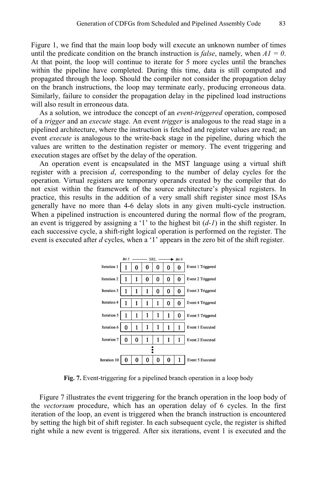Figure 1, we find that the main loop body will execute an unknown number of times until the predicate condition on the branch instruction is *false*, namely, when *A1 = 0*. At that point, the loop will continue to iterate for 5 more cycles until the branches within the pipeline have completed. During this time, data is still computed and propagated through the loop. Should the compiler not consider the propagation delay on the branch instructions, the loop may terminate early, producing erroneous data. Similarly, failure to consider the propagation delay in the pipelined load instructions will also result in erroneous data.

As a solution, we introduce the concept of an *event-triggered* operation, composed of a *trigger* and an *execute* stage. An event *trigger* is analogous to the read stage in a pipelined architecture, where the instruction is fetched and register values are read; an event *execute* is analogous to the write-back stage in the pipeline, during which the values are written to the destination register or memory. The event triggering and execution stages are offset by the delay of the operation.

An operation event is encapsulated in the MST language using a virtual shift register with a precision *d*, corresponding to the number of delay cycles for the operation. Virtual registers are temporary operands created by the compiler that do not exist within the framework of the source architecture's physical registers. In practice, this results in the addition of a very small shift register since most ISAs generally have no more than 4-6 delay slots in any given multi-cycle instruction. When a pipelined instruction is encountered during the normal flow of the program, an event is triggered by assigning a '1' to the highest bit  $(d-1)$  in the shift register. In each successive cycle, a shift-right logical operation is performed on the register. The event is executed after *d* cycles, when a '1' appears in the zero bit of the shift register.



**Fig. 7.** Event-triggering for a pipelined branch operation in a loop body

Figure 7 illustrates the event triggering for the branch operation in the loop body of the *vectorsum* procedure, which has an operation delay of 6 cycles. In the first iteration of the loop, an event is triggered when the branch instruction is encountered by setting the high bit of shift register. In each subsequent cycle, the register is shifted right while a new event is triggered. After six iterations, event 1 is executed and the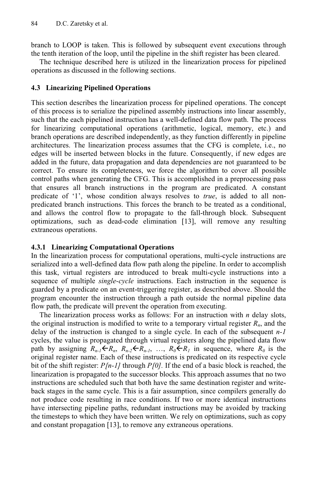branch to LOOP is taken. This is followed by subsequent event executions through the tenth iteration of the loop, until the pipeline in the shift register has been cleared.

The technique described here is utilized in the linearization process for pipelined operations as discussed in the following sections.

#### **4.3 Linearizing Pipelined Operations**

This section describes the linearization process for pipelined operations. The concept of this process is to serialize the pipelined assembly instructions into linear assembly, such that the each pipelined instruction has a well-defined data flow path. The process for linearizing computational operations (arithmetic, logical, memory, etc.) and branch operations are described independently, as they function differently in pipeline architectures. The linearization process assumes that the CFG is complete, i.e., no edges will be inserted between blocks in the future. Consequently, if new edges are added in the future, data propagation and data dependencies are not guaranteed to be correct. To ensure its completeness, we force the algorithm to cover all possible control paths when generating the CFG. This is accomplished in a preprocessing pass that ensures all branch instructions in the program are predicated. A constant predicate of '1', whose condition always resolves to *true*, is added to all nonpredicated branch instructions. This forces the branch to be treated as a conditional, and allows the control flow to propagate to the fall-through block. Subsequent optimizations, such as dead-code elimination [13], will remove any resulting extraneous operations.

#### **4.3.1 Linearizing Computational Operations**

In the linearization process for computational operations, multi-cycle instructions are serialized into a well-defined data flow path along the pipeline. In order to accomplish this task, virtual registers are introduced to break multi-cycle instructions into a sequence of multiple *single-cycle* instructions. Each instruction in the sequence is guarded by a predicate on an event-triggering register, as described above. Should the program encounter the instruction through a path outside the normal pipeline data flow path, the predicate will prevent the operation from executing.

The linearization process works as follows: For an instruction with *n* delay slots, the original instruction is modified to write to a temporary virtual register  $R<sub>n</sub>$ , and the delay of the instruction is changed to a single cycle. In each of the subsequent *n-1* cycles, the value is propagated through virtual registers along the pipelined data flow path by assigning  $R_{n-1} \leftarrow R_n$ ,  $R_{n-2} \leftarrow R_{n-1}$ , ...,  $R_0 \leftarrow R_1$  in sequence, where  $R_0$  is the original register name. Each of these instructions is predicated on its respective cycle bit of the shift register: *P[n-1]* through *P[0].* If the end of a basic block is reached, the linearization is propagated to the successor blocks. This approach assumes that no two instructions are scheduled such that both have the same destination register and writeback stages in the same cycle. This is a fair assumption, since compilers generally do not produce code resulting in race conditions. If two or more identical instructions have intersecting pipeline paths, redundant instructions may be avoided by tracking the timesteps to which they have been written. We rely on optimizations, such as copy and constant propagation [13], to remove any extraneous operations.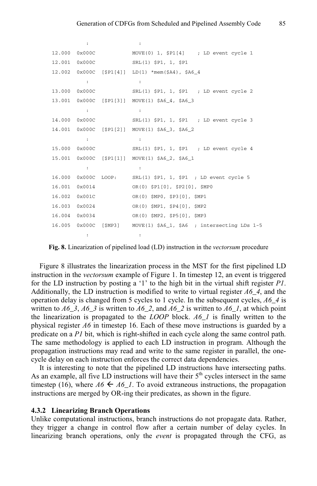```
the state of the state of the state of the
12.000 0x000C MOVE(0) 1, $P1[4] ; LD event cycle 1 
12.001 0x000C SRL(1) $P1, 1, $P1 
12.002 0x000C [$P1[4]] LD(1) *mem($A4), $A6_4 
the state of the state of the state of the
13.000 0x000C SRL(1) $P1, 1, $P1 ; LD event cycle 2 
13.001 0x000C [$P1[3]] MOVE(1) $A6_4, $A6_3 
the state of the state of the state of the
14.000 0x000C SRL(1) $P1, 1, $P1 ; LD event cycle 3 
14.001 0x000C [$P1[2]] MOVE(1) $A6_3, $A6_2 
the state of the state of the state of the
15.000 0x000C SRL(1) $P1, 1, $P1 ; LD event cycle 4 
15.001 0x000C [$P1[1]] MOVE(1) $A6_2, $A6_1 
the state of the state of the state of the
16.000 0x000C LOOP: SRL(1) $P1, 1, $P1 ; LD event cycle 5 
16.001 0x0014 OR(0) $P1[0], $P2[0], $MP0 
16.002 0x001C OR(0) $MP0, $P3[0], $MP1 
16.003 0x0024 OR(0) $MP1, $P4[0], $MP2 
16.004 0x0034 OR(0) $MP2, $P5[0], $MP3 
16.005 0x000C [$MP3] MOVE(1) $A6_1, $A6 ; intersecting LDs 1-5 
the second control of the second second second
```
**Fig. 8.** Linearization of pipelined load (LD) instruction in the *vectorsum* procedure

Figure 8 illustrates the linearization process in the MST for the first pipelined LD instruction in the *vectorsum* example of Figure 1. In timestep 12, an event is triggered for the LD instruction by posting a '1' to the high bit in the virtual shift register *P1*. Additionally, the LD instruction is modified to write to virtual register *A6\_4*, and the operation delay is changed from 5 cycles to 1 cycle. In the subsequent cycles, *A6\_4* is written to  $A6\,3$ ,  $A6\,3$  is written to  $A6\,2$ , and  $A6\,2$  is written to  $A6\,1$ , at which point the linearization is propagated to the *LOOP* block. *A6\_1* is finally written to the physical register *A6* in timestep 16. Each of these move instructions is guarded by a predicate on a *P1* bit, which is right-shifted in each cycle along the same control path. The same methodology is applied to each LD instruction in program. Although the propagation instructions may read and write to the same register in parallel, the onecycle delay on each instruction enforces the correct data dependencies.

It is interesting to note that the pipelined LD instructions have intersecting paths. As an example, all five LD instructions will have their  $5<sup>th</sup>$  cycles intersect in the same timestep (16), where  $A6 \leftarrow A6\_1$ . To avoid extraneous instructions, the propagation instructions are merged by OR-ing their predicates, as shown in the figure.

#### **4.3.2 Linearizing Branch Operations**

Unlike computational instructions, branch instructions do not propagate data. Rather, they trigger a change in control flow after a certain number of delay cycles. In linearizing branch operations, only the *event* is propagated through the CFG, as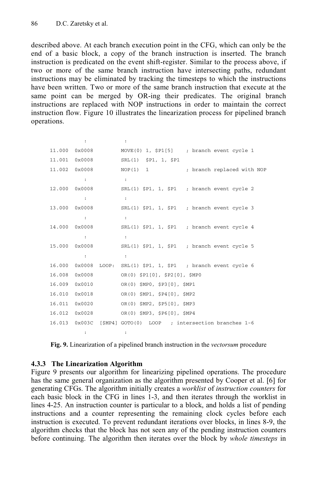described above. At each branch execution point in the CFG, which can only be the end of a basic block, a copy of the branch instruction is inserted. The branch instruction is predicated on the event shift-register. Similar to the process above, if two or more of the same branch instruction have intersecting paths, redundant instructions may be eliminated by tracking the timesteps to which the instructions have been written. Two or more of the same branch instruction that execute at the same point can be merged by OR-ing their predicates. The original branch instructions are replaced with NOP instructions in order to maintain the correct instruction flow. Figure 10 illustrates the linearization process for pipelined branch operations.

|        | $\sim$ 100               | $\mathbf{r}$                                                   |
|--------|--------------------------|----------------------------------------------------------------|
| 11.000 | $0 \times 0008$          | $Move(0) 1, $P1[5]$ ; branch event cycle 1                     |
|        | 11.001 0x0008            | $SRL(1)$ $$P1, 1, $P1$                                         |
|        | 11.002 0x0008            | NOP(1) 1 ; branch replaced with NOP                            |
|        | <b>Contract Contract</b> | <b>Contractor</b>                                              |
|        |                          | $12.000$ 0x0008 SRL(1) \$P1, 1, \$P1; branch event cycle 2     |
|        | <b>Contractor</b>        | $\sim 10$                                                      |
|        |                          | 13.000 0x0008 SRL(1) \$P1, 1, \$P1; branch event cycle 3       |
|        | <b>Contractor</b>        | <b>Contract</b>                                                |
|        |                          | 14.000 0x0008 SRL(1) \$P1, 1, \$P1; branch event cycle 4       |
|        | <b>Contract Contract</b> | <b>Contractor</b>                                              |
|        |                          | 15.000 0x0008 SRL(1) \$P1, 1, \$P1; branch event cycle 5       |
|        | <b>Contractor</b>        | $\sim$ 10                                                      |
| 16.000 |                          | $0x0008$ LOOP: SRL(1) \$P1, 1, \$P1; branch event cycle 6      |
| 16.008 | 0x0008                   | OR(0) \$P1[0], \$P2[0], \$MP0                                  |
| 16.009 | $0 \times 0010$          | OR(0) \$MP0, \$P3[0], \$MP1                                    |
| 16.010 | $0 \times 0018$          | OR(0) \$MP1, \$P4[0], \$MP2                                    |
| 16.011 | $0 \times 0020$          | OR(0) \$MP2, \$P5[0], \$MP3                                    |
|        |                          | 16.012 0x0028 OR(0) \$MP3, \$P6[0], \$MP4                      |
|        |                          | 16.013 0x003C [\$MP4] GOTO(0) LOOP ; intersection branches 1-6 |
|        | $\ddot{\phantom{a}}$     | $\ddot{\phantom{a}}$                                           |

**Fig. 9.** Linearization of a pipelined branch instruction in the *vectorsum* procedure

#### **4.3.3 The Linearization Algorithm**

Figure 9 presents our algorithm for linearizing pipelined operations. The procedure has the same general organization as the algorithm presented by Cooper et al. [6] for generating CFGs. The algorithm initially creates a *worklist* of *instruction counters* for each basic block in the CFG in lines 1-3, and then iterates through the worklist in lines 4-25. An instruction counter is particular to a block, and holds a list of pending instructions and a counter representing the remaining clock cycles before each instruction is executed. To prevent redundant iterations over blocks, in lines 8-9, the algorithm checks that the block has not seen any of the pending instruction counters before continuing. The algorithm then iterates over the block by *whole timesteps* in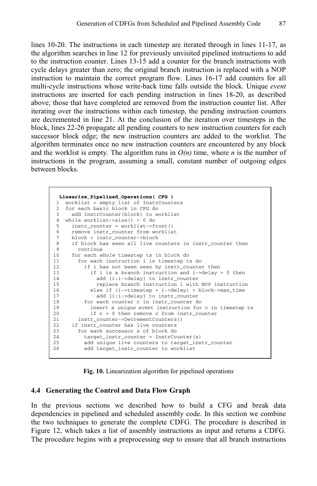lines 10-20. The instructions in each timestep are iterated through in lines 11-17, as the algorithm searches in line 12 for previously unvisited pipelined instructions to add to the instruction counter. Lines 13-15 add a counter for the branch instructions with cycle delays greater than zero; the original branch instruction is replaced with a NOP instruction to maintain the correct program flow. Lines 16-17 add counters for all multi-cycle instructions whose write-back time falls outside the block. Unique *event* instructions are inserted for each pending instruction in lines 18-20, as described above; those that have completed are removed from the instruction counter list. After iterating over the instructions within each timestep, the pending instruction counters are decremented in line 21. At the conclusion of the iteration over timesteps in the block, lines 22-26 propagate all pending counters to new instruction counters for each successor block edge; the new instruction counters are added to the worklist. The algorithm terminates once no new instruction counters are encountered by any block and the worklist is empty. The algorithm runs in  $O(n)$  time, where *n* is the number of instructions in the program, assuming a small, constant number of outgoing edges between blocks.

 **Linearize\_Pipelined\_Operations( CFG )**  1 worklist = empty list of InstrCounters 2 for each basic block in CFG do 3 add InstrCounter(block) to worklist 4 while worklist->size() > 0 do 5 instr\_counter = worklist->front() 6 remove instr\_counter from worklist 7 block = instr\_counter->block<br>8 if block has seen all live c 8 if block has seen all live counters in instr\_counter then<br>9 9 continue 10 for each whole timestep ts in block do<br>11 for each instruction i in timestep t for each instruction i in timestep ts do 12 if i has not been seen by instr\_counter then<br>13 if i is a branch instruction and i->delay 13 if i is a branch instruction and i->delay > 0 then<br>14 add {i:i->delay} to instr counter add {i:i->delay} to instr\_counter 15 replace branch instruction i with NOP instruction<br>16 else if (i->timesten + i->delav) > block->max time else if  $(i$ ->timestep +  $i$ ->delay) > block->max time 17 add {i:i->delay} to instr\_counter<br>18 for each counter c in instr counter d 18 for each counter c in instr\_counter do<br>19 insert a *unique* event instruction for insert a unique event instruction for c in timestep ts 20 if c = 0 then remove c from instr\_counter 21 instr\_counter->DecrementCounters() 22 if instr\_counter has live counters<br>23 for each successor s of block do for each successor s of block do 24 target\_instr\_counter = InstrCounter(s) 25 add unique live counters to target\_instr\_counter 26 add target\_instr\_counter to worklist

**Fig. 10.** Linearization algorithm for pipelined operations

#### **4.4 Generating the Control and Data Flow Graph**

In the previous sections we described how to build a CFG and break data dependencies in pipelined and scheduled assembly code. In this section we combine the two techniques to generate the complete CDFG. The procedure is described in Figure 12, which takes a list of assembly instructions as input and returns a CDFG. The procedure begins with a preprocessing step to ensure that all branch instructions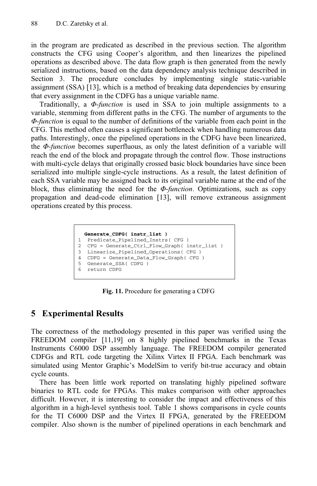in the program are predicated as described in the previous section. The algorithm constructs the CFG using Cooper's algorithm, and then linearizes the pipelined operations as described above. The data flow graph is then generated from the newly serialized instructions, based on the data dependency analysis technique described in Section 3. The procedure concludes by implementing single static-variable assignment (SSA) [13], which is a method of breaking data dependencies by ensuring that every assignment in the CDFG has a unique variable name.

Traditionally, a *Φ-function* is used in SSA to join multiple assignments to a variable, stemming from different paths in the CFG. The number of arguments to the *Φ-function* is equal to the number of definitions of the variable from each point in the CFG. This method often causes a significant bottleneck when handling numerous data paths. Interestingly, once the pipelined operations in the CDFG have been linearized, the *Φ-function* becomes superfluous, as only the latest definition of a variable will reach the end of the block and propagate through the control flow. Those instructions with multi-cycle delays that originally crossed basic block boundaries have since been serialized into multiple single-cycle instructions. As a result, the latest definition of each SSA variable may be assigned back to its original variable name at the end of the block, thus eliminating the need for the *Φ-function*. Optimizations, such as copy propagation and dead-code elimination [13], will remove extraneous assignment operations created by this process.

| Generate CDFG( instr list)                    |
|-----------------------------------------------|
| 1 Predicate Pipelined Instrs (CFG)            |
| 2 CFG = Generate Ctrl Flow Graph( instr list) |
| 3 Linearize Pipelined Operations (CFG )       |
| 4 CDFG = Generate Data Flow Graph (CFG)       |
| 5 Generate SSA(CDFG)                          |
| 6 return CDFG                                 |

**Fig. 11.** Procedure for generating a CDFG

## **5 Experimental Results**

The correctness of the methodology presented in this paper was verified using the FREEDOM compiler [11,19] on 8 highly pipelined benchmarks in the Texas Instruments C6000 DSP assembly language. The FREEDOM compiler generated CDFGs and RTL code targeting the Xilinx Virtex II FPGA. Each benchmark was simulated using Mentor Graphic's ModelSim to verify bit-true accuracy and obtain cycle counts.

There has been little work reported on translating highly pipelined software binaries to RTL code for FPGAs. This makes comparison with other approaches difficult. However, it is interesting to consider the impact and effectiveness of this algorithm in a high-level synthesis tool. Table 1 shows comparisons in cycle counts for the TI C6000 DSP and the Virtex II FPGA, generated by the FREEDOM compiler. Also shown is the number of pipelined operations in each benchmark and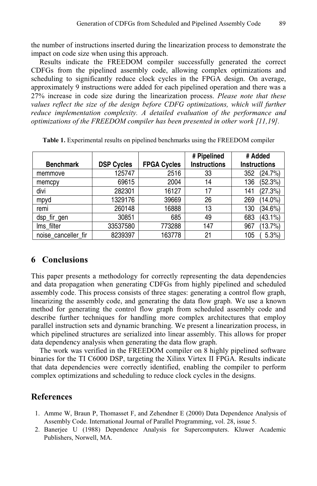the number of instructions inserted during the linearization process to demonstrate the impact on code size when using this approach.

Results indicate the FREEDOM compiler successfully generated the correct CDFGs from the pipelined assembly code, allowing complex optimizations and scheduling to significantly reduce clock cycles in the FPGA design. On average, approximately 9 instructions were added for each pipelined operation and there was a 27% increase in code size during the linearization process. *Please note that these values reflect the size of the design before CDFG optimizations, which will further reduce implementation complexity. A detailed evaluation of the performance and optimizations of the FREEDOM compiler has been presented in other work [11,19].*

|                     |                   |                    | # Pipelined         | # Added             |  |
|---------------------|-------------------|--------------------|---------------------|---------------------|--|
| <b>Benchmark</b>    | <b>DSP Cycles</b> | <b>FPGA Cycles</b> | <b>Instructions</b> | <b>Instructions</b> |  |
| memmove             | 125747            | 2516               | 33                  | (24.7%)<br>352      |  |
| memcpy              | 69615             | 2004               | 14                  | (52.3%)<br>136      |  |
| divi                | 282301            | 16127              | 17                  | (27.3%)<br>141      |  |
| mpyd                | 1329176           | 39669              | 26                  | $(14.0\%)$<br>269   |  |
| remi                | 260148            | 16888              | 13                  | (34.6%)<br>130      |  |
| dsp_fir_gen         | 30851             | 685                | 49                  | (43.1%)<br>683      |  |
| Ims filter          | 33537580          | 773288             | 147                 | (13.7%)<br>967      |  |
| noise_canceller fir | 8239397           | 163778             | 21                  | 5.3%<br>105         |  |

**Table 1.** Experimental results on pipelined benchmarks using the FREEDOM compiler

## **6 Conclusions**

This paper presents a methodology for correctly representing the data dependencies and data propagation when generating CDFGs from highly pipelined and scheduled assembly code. This process consists of three stages: generating a control flow graph, linearizing the assembly code, and generating the data flow graph. We use a known method for generating the control flow graph from scheduled assembly code and describe further techniques for handling more complex architectures that employ parallel instruction sets and dynamic branching. We present a linearization process, in which pipelined structures are serialized into linear assembly. This allows for proper data dependency analysis when generating the data flow graph.

The work was verified in the FREEDOM compiler on 8 highly pipelined software binaries for the TI C6000 DSP, targeting the Xilinx Virtex II FPGA. Results indicate that data dependencies were correctly identified, enabling the compiler to perform complex optimizations and scheduling to reduce clock cycles in the designs.

## **References**

- 1. Amme W, Braun P, Thomasset F, and Zehendner E (2000) Data Dependence Analysis of Assembly Code. International Journal of Parallel Programming, vol. 28, issue 5.
- 2. Banerjee U (1988) Dependence Analysis for Supercomputers. Kluwer Academic Publishers, Norwell, MA.